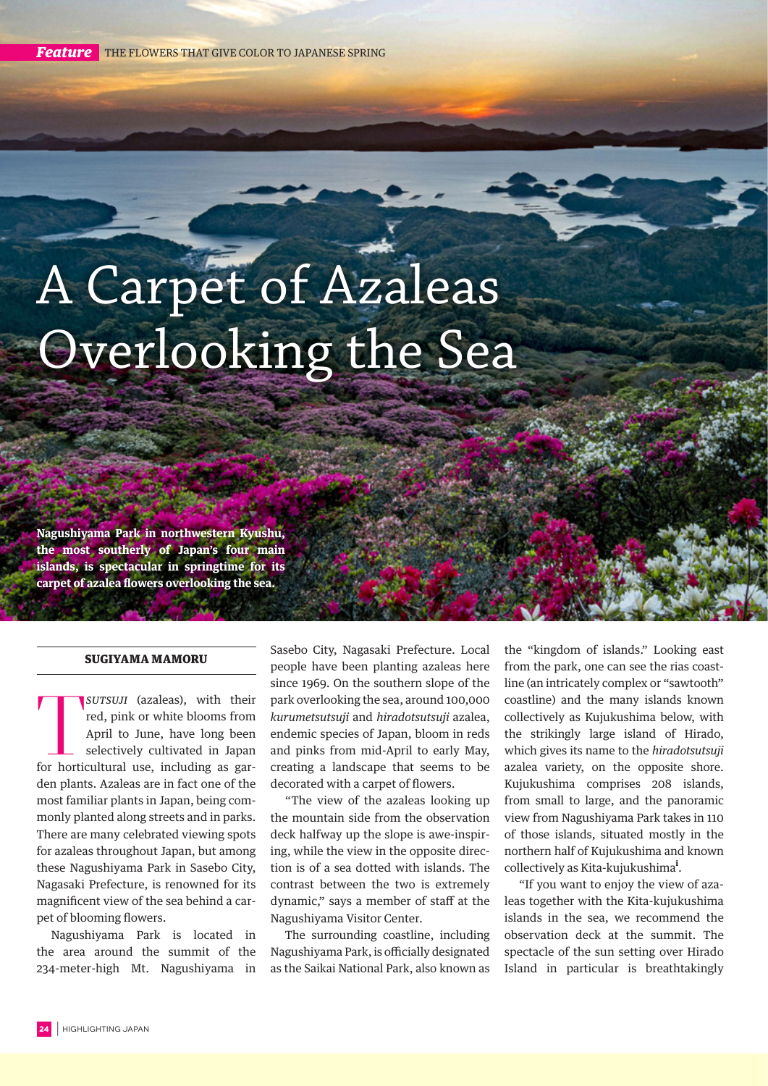*Feature* THE FLOWERS THAT GIVE COLOR TO JAPANESE SPRING

## A Carpet of Azaleas Overlooking the Sea

**Nagushiyama Park in northwestern Kyushu, the most southerly of Japan's four main islands, is spectacular in springtime for its carpet of azalea flowers overlooking the sea.**

## SUGIYAMA MAMORU

SUTSUJI (azaleas), with their<br>red, pink or white blooms from<br>April to June, have long been<br>selectively cultivated in Japan<br>for horticultural use, including as gar*sutsuji* (azaleas), with their red, pink or white blooms from April to June, have long been selectively cultivated in Japan den plants. Azaleas are in fact one of the most familiar plants in Japan, being commonly planted along streets and in parks. There are many celebrated viewing spots for azaleas throughout Japan, but among these Nagushiyama Park in Sasebo City, Nagasaki Prefecture, is renowned for its magnificent view of the sea behind a carpet of blooming flowers.

Nagushiyama Park is located in the area around the summit of the 234-meter-high Mt. Nagushiyama in

Sasebo City, Nagasaki Prefecture. Local people have been planting azaleas here since 1969. On the southern slope of the park overlooking the sea, around 100,000 *kurumetsutsuji* and *hiradotsutsuji* azalea, endemic species of Japan, bloom in reds and pinks from mid-April to early May, creating a landscape that seems to be decorated with a carpet of flowers.

"The view of the azaleas looking up the mountain side from the observation deck halfway up the slope is awe-inspiring, while the view in the opposite direction is of a sea dotted with islands. The contrast between the two is extremely dynamic," says a member of staff at the Nagushiyama Visitor Center.

The surrounding coastline, including Nagushiyama Park, is officially designated as the Saikai National Park, also known as the "kingdom of islands." Looking east from the park, one can see the rias coastline (an intricately complex or "sawtooth" coastline) and the many islands known collectively as Kujukushima below, with the strikingly large island of Hirado, which gives its name to the *hiradotsutsuji* azalea variety, on the opposite shore. Kujukushima comprises 208 islands, from small to large, and the panoramic view from Nagushiyama Park takes in 110 of those islands, situated mostly in the northern half of Kujukushima and known collectively as Kita-kujukushima<sup>i</sup>.

"If you want to enjoy the view of azaleas together with the Kita-kujukushima islands in the sea, we recommend the observation deck at the summit. The spectacle of the sun setting over Hirado Island in particular is breathtakingly